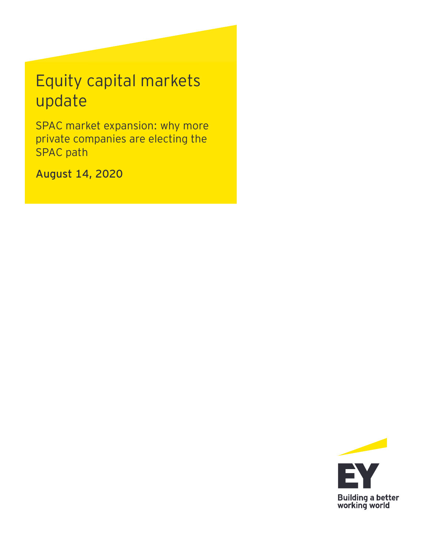# Equity capital markets update

SPAC market expansion: why more private companies are electing the SPAC path

**August 14, 2020**

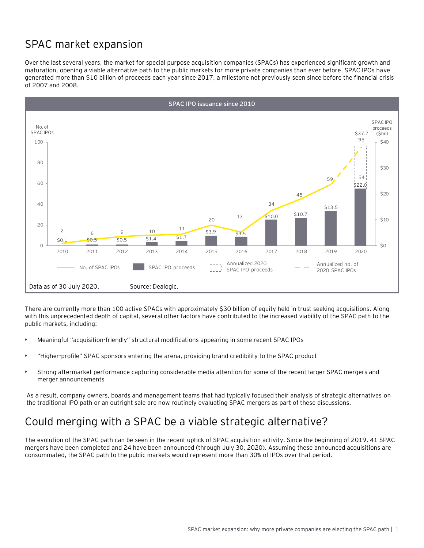# SPAC market expansion

Over the last several years, the market for special purpose acquisition companies (SPACs) has experienced significant growth and maturation, opening a viable alternative path to the public markets for more private companies than ever before. SPAC IPOs have generated more than \$10 billion of proceeds each year since 2017, a milestone not previously seen since before the financial crisis of 2007 and 2008.



There are currently more than 100 active SPACs with approximately \$30 billion of equity held in trust seeking acquisitions. Along with this unprecedented depth of capital, several other factors have contributed to the increased viability of the SPAC path to the public markets, including:

- Meaningful "acquisition-friendly" structural modifications appearing in some recent SPAC IPOs
- "Higher-profile" SPAC sponsors entering the arena, providing brand credibility to the SPAC product
- Strong aftermarket performance capturing considerable media attention for some of the recent larger SPAC mergers and merger announcements

As a result, company owners, boards and management teams that had typically focused their analysis of strategic alternatives on the traditional IPO path or an outright sale are now routinely evaluating SPAC mergers as part of these discussions.

### Could merging with a SPAC be a viable strategic alternative?

The evolution of the SPAC path can be seen in the recent uptick of SPAC acquisition activity. Since the beginning of 2019, 41 SPAC mergers have been completed and 24 have been announced (through July 30, 2020). Assuming these announced acquisitions are consummated, the SPAC path to the public markets would represent more than 30% of IPOs over that period.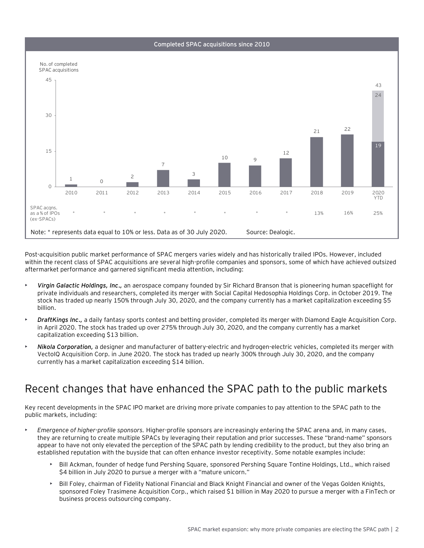



Post-acquisition public market performance of SPAC mergers varies widely and has historically trailed IPOs. However, included within the recent class of SPAC acquisitions are several high-profile companies and sponsors, some of which have achieved outsized aftermarket performance and garnered significant media attention, including:

- *Virgin Galactic Holdings, Inc.,* an aerospace company founded by Sir Richard Branson that is pioneering human spaceflight for private individuals and researchers, completed its merger with Social Capital Hedosophia Holdings Corp. in October 2019. The stock has traded up nearly 150% through July 30, 2020, and the company currently has a market capitalization exceeding \$5 billion.
- *DraftKings Inc.,* a daily fantasy sports contest and betting provider, completed its merger with Diamond Eagle Acquisition Corp. in April 2020. The stock has traded up over 275% through July 30, 2020, and the company currently has a market capitalization exceeding \$13 billion.
- *Nikola Corporation,* a designer and manufacturer of battery-electric and hydrogen-electric vehicles, completed its merger with VectoIQ Acquisition Corp. in June 2020. The stock has traded up nearly 300% through July 30, 2020, and the company currently has a market capitalization exceeding \$14 billion.

### Recent changes that have enhanced the SPAC path to the public markets

Key recent developments in the SPAC IPO market are driving more private companies to pay attention to the SPAC path to the public markets, including:

- *Emergence of higher-profile sponsors.* Higher-profile sponsors are increasingly entering the SPAC arena and, in many cases, they are returning to create multiple SPACs by leveraging their reputation and prior successes. These "brand-name" sponsors appear to have not only elevated the perception of the SPAC path by lending credibility to the product, but they also bring an established reputation with the buyside that can often enhance investor receptivity. Some notable examples include:
	- Bill Ackman, founder of hedge fund Pershing Square, sponsored Pershing Square Tontine Holdings, Ltd., which raised \$4 billion in July 2020 to pursue a merger with a "mature unicorn."
	- Bill Foley, chairman of Fidelity National Financial and Black Knight Financial and owner of the Vegas Golden Knights, sponsored Foley Trasimene Acquisition Corp., which raised \$1 billion in May 2020 to pursue a merger with a FinTech or business process outsourcing company.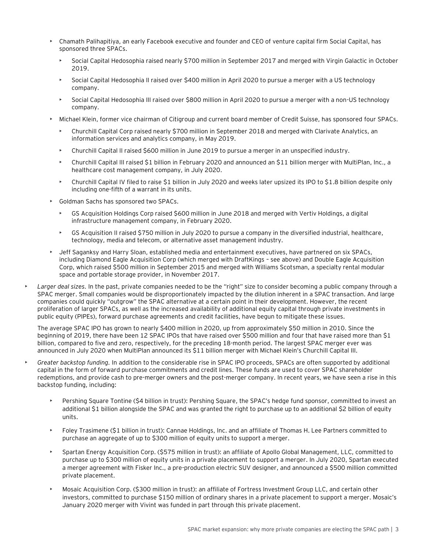- Chamath Palihapitiya, an early Facebook executive and founder and CEO of venture capital firm Social Capital, has sponsored three SPACs.
	- Social Capital Hedosophia raised nearly \$700 million in September 2017 and merged with Virgin Galactic in October 2019.
	- Social Capital Hedosophia II raised over \$400 million in April 2020 to pursue a merger with a US technology company.
	- Social Capital Hedosophia III raised over \$800 million in April 2020 to pursue a merger with a non-US technology company.
- Michael Klein, former vice chairman of Citigroup and current board member of Credit Suisse, has sponsored four SPACs.
	- Churchill Capital Corp raised nearly \$700 million in September 2018 and merged with Clarivate Analytics, an information services and analytics company, in May 2019.
	- Churchill Capital II raised \$600 million in June 2019 to pursue a merger in an unspecified industry.
	- Churchill Capital III raised \$1 billion in February 2020 and announced an \$11 billion merger with MultiPlan, Inc., a healthcare cost management company, in July 2020.
	- Churchill Capital IV filed to raise \$1 billion in July 2020 and weeks later upsized its IPO to \$1.8 billion despite only including one-fifth of a warrant in its units.
- Goldman Sachs has sponsored two SPACs.
	- GS Acquisition Holdings Corp raised \$600 million in June 2018 and merged with Vertiv Holdings, a digital infrastructure management company, in February 2020.
	- GS Acquisition II raised \$750 million in July 2020 to pursue a company in the diversified industrial, healthcare, technology, media and telecom, or alternative asset management industry.
- Jeff Saganksy and Harry Sloan, established media and entertainment executives, have partnered on six SPACs, including Diamond Eagle Acquisition Corp (which merged with DraftKings – see above) and Double Eagle Acquisition Corp, which raised \$500 million in September 2015 and merged with Williams Scotsman, a specialty rental modular space and portable storage provider, in November 2017.
- *Larger deal sizes.* In the past, private companies needed to be the "right" size to consider becoming a public company through a SPAC merger. Small companies would be disproportionately impacted by the dilution inherent in a SPAC transaction. And large companies could quickly "outgrow" the SPAC alternative at a certain point in their development. However, the recent proliferation of larger SPACs, as well as the increased availability of additional equity capital through private investments in public equity (PIPEs), forward purchase agreements and credit facilities, have begun to mitigate these issues.

The average SPAC IPO has grown to nearly \$400 million in 2020, up from approximately \$50 million in 2010. Since the beginning of 2019, there have been 12 SPAC IPOs that have raised over \$500 million and four that have raised more than \$1 billion, compared to five and zero, respectively, for the preceding 18-month period. The largest SPAC merger ever was announced in July 2020 when MultiPlan announced its \$11 billion merger with Michael Klein's Churchill Capital III.

- *Greater backstop funding.* In addition to the considerable rise in SPAC IPO proceeds, SPACs are often supported by additional capital in the form of forward purchase commitments and credit lines. These funds are used to cover SPAC shareholder redemptions, and provide cash to pre-merger owners and the post-merger company. In recent years, we have seen a rise in this backstop funding, including:
	- Pershing Square Tontine (\$4 billion in trust): Pershing Square, the SPAC's hedge fund sponsor, committed to invest an additional \$1 billion alongside the SPAC and was granted the right to purchase up to an additional \$2 billion of equity units.
	- Foley Trasimene (\$1 billion in trust): Cannae Holdings, Inc. and an affiliate of Thomas H. Lee Partners committed to purchase an aggregate of up to \$300 million of equity units to support a merger.
	- Spartan Energy Acquisition Corp. (\$575 million in trust): an affiliate of Apollo Global Management, LLC, committed to purchase up to \$300 million of equity units in a private placement to support a merger. In July 2020, Spartan executed a merger agreement with Fisker Inc., a pre-production electric SUV designer, and announced a \$500 million committed private placement.
	- Mosaic Acquisition Corp. (\$300 million in trust): an affiliate of Fortress Investment Group LLC, and certain other investors, committed to purchase \$150 million of ordinary shares in a private placement to support a merger. Mosaic's January 2020 merger with Vivint was funded in part through this private placement.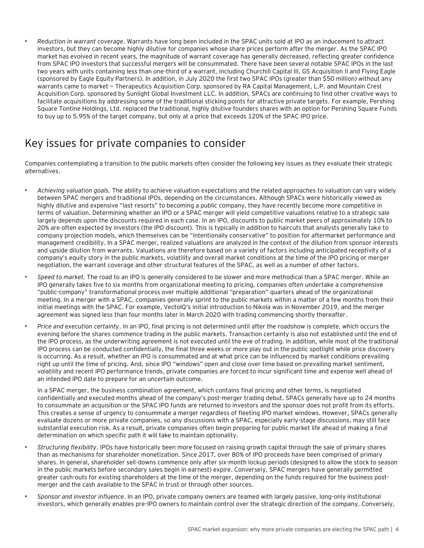• *Reduction in warrant coverage*. Warrants have long been included in the SPAC units sold at IPO as an inducement to attract investors, but they can become highly dilutive for companies whose share prices perform after the merger. As the SPAC IPO market has evolved in recent years, the magnitude of warrant coverage has generally decreased, reflecting greater confidence from SPAC IPO investors that successful mergers will be consummated. There have been several notable SPAC IPOs in the last two years with units containing less than one-third of a warrant, including Churchill Capital III, GS Acquisition II and Flying Eagle (sponsored by Eagle Equity Partners). In addition, in July 2020 the first two SPAC IPOs (greater than \$50 million) without any warrants came to market — Therapeutics Acquisition Corp. sponsored by RA Capital Management, L.P. and Mountain Crest Acquisition Corp. sponsored by Sunlight Global Investment LLC. In addition, SPACs are continuing to find other creative ways to facilitate acquisitions by addressing some of the traditional sticking points for attractive private targets. For example, Pershing Square Tontine Holdings, Ltd. replaced the traditional, highly dilutive founders shares with an option for Pershing Square Funds to buy up to 5.95% of the target company, but only at a price that exceeds 120% of the SPAC IPO price.

### Key issues for private companies to consider

Companies contemplating a transition to the public markets often consider the following key issues as they evaluate their strategic alternatives.

- *Achieving valuation goals.* The ability to achieve valuation expectations and the related approaches to valuation can vary widely between SPAC mergers and traditional IPOs, depending on the circumstances. Although SPACs were historically viewed as highly dilutive and expensive "last resorts" to becoming a public company, they have recently become more competitive in terms of valuation. Determining whether an IPO or a SPAC merger will yield competitive valuations relative to a strategic sale largely depends upon the discounts required in each case. In an IPO, discounts to public market peers of approximately 10% to 20% are often expected by investors (the IPO discount). This is typically in addition to haircuts that analysts generally take to company projection models, which themselves can be "intentionally conservative" to position for aftermarket performance and management credibility. In a SPAC merger, realized valuations are analyzed in the context of the dilution from sponsor interests and upside dilution from warrants. Valuations are therefore based on a variety of factors including anticipated receptivity of a company's equity story in the public markets, volatility and overall market conditions at the time of the IPO pricing or merger negotiation, the warrant coverage and other structural features of the SPAC, as well as a number of other factors.
- *Speed to market.* The road to an IPO is generally considered to be slower and more methodical than a SPAC merger. While an IPO generally takes five to six months from organizational meeting to pricing, companies often undertake a comprehensive "public-company" transformational process over multiple additional "preparation" quarters ahead of the organizational meeting. In a merger with a SPAC, companies generally sprint to the public markets within a matter of a few months from their initial meetings with the SPAC. For example, VectoIQ's initial introduction to Nikola was in November 2019, and the merger agreement was signed less than four months later in March 2020 with trading commencing shortly thereafter.
- *Price and execution certainty*. In an IPO, final pricing is not determined until after the roadshow is complete, which occurs the evening before the shares commence trading in the public markets. Transaction certainty is also not established until the end of the IPO process, as the underwriting agreement is not executed until the eve of trading. In addition, while most of the traditional IPO process can be conducted confidentially, the final three weeks or more play out in the public spotlight while price discovery is occurring. As a result, whether an IPO is consummated and at what price can be influenced by market conditions prevailing right up until the time of pricing. And, since IPO "windows" open and close over time based on prevailing market sentiment, volatility and recent IPO performance trends, private companies are forced to incur significant time and expense well ahead of an intended IPO date to prepare for an uncertain outcome.

In a SPAC merger, the business combination agreement, which contains final pricing and other terms, is negotiated confidentially and executed months ahead of the company's post-merger trading debut. SPACs generally have up to 24 months to consummate an acquisition or the SPAC IPO funds are returned to investors and the sponsor does not profit from its efforts. This creates a sense of urgency to consummate a merger regardless of fleeting IPO market windows. However, SPACs generally evaluate dozens or more private companies, so any discussions with a SPAC, especially early-stage discussions, may still face substantial execution risk. As a result, private companies often begin preparing for public market life ahead of making a final determination on which specific path it will take to maintain optionality.

- *Structuring flexibility*. IPOs have historically been more focused on raising growth capital through the sale of primary shares than as mechanisms for shareholder monetization. Since 2017, over 80% of IPO proceeds have been comprised of primary shares. In general, shareholder sell-downs commence only after six-month lockup periods (designed to allow the stock to season in the public markets before secondary sales begin in earnest) expire. Conversely, SPAC mergers have generally permitted greater cash-outs for existing shareholders at the time of the merger, depending on the funds required for the business postmerger and the cash available to the SPAC in trust or through other sources.
- *Sponsor and investor influence*. In an IPO, private company owners are teamed with largely passive, long-only institutional investors, which generally enables pre-IPO owners to maintain control over the strategic direction of the company. Conversely,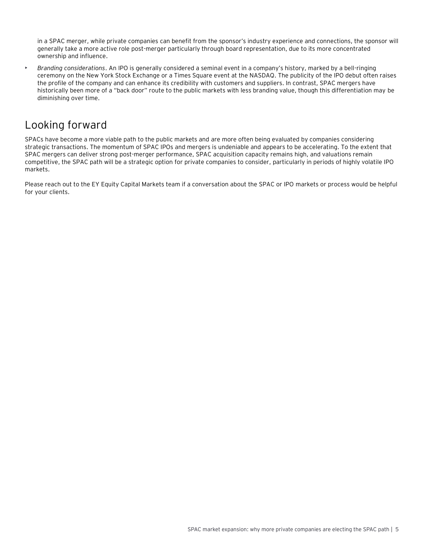in a SPAC merger, while private companies can benefit from the sponsor's industry experience and connections, the sponsor will generally take a more active role post-merger particularly through board representation, due to its more concentrated ownership and influence.

• *Branding considerations*. An IPO is generally considered a seminal event in a company's history, marked by a bell-ringing ceremony on the New York Stock Exchange or a Times Square event at the NASDAQ. The publicity of the IPO debut often raises the profile of the company and can enhance its credibility with customers and suppliers. In contrast, SPAC mergers have historically been more of a "back door" route to the public markets with less branding value, though this differentiation may be diminishing over time.

# Looking forward

SPACs have become a more viable path to the public markets and are more often being evaluated by companies considering strategic transactions. The momentum of SPAC IPOs and mergers is undeniable and appears to be accelerating. To the extent that SPAC mergers can deliver strong post-merger performance, SPAC acquisition capacity remains high, and valuations remain competitive, the SPAC path will be a strategic option for private companies to consider, particularly in periods of highly volatile IPO markets.

Please reach out to the EY Equity Capital Markets team if a conversation about the SPAC or IPO markets or process would be helpful for your clients.